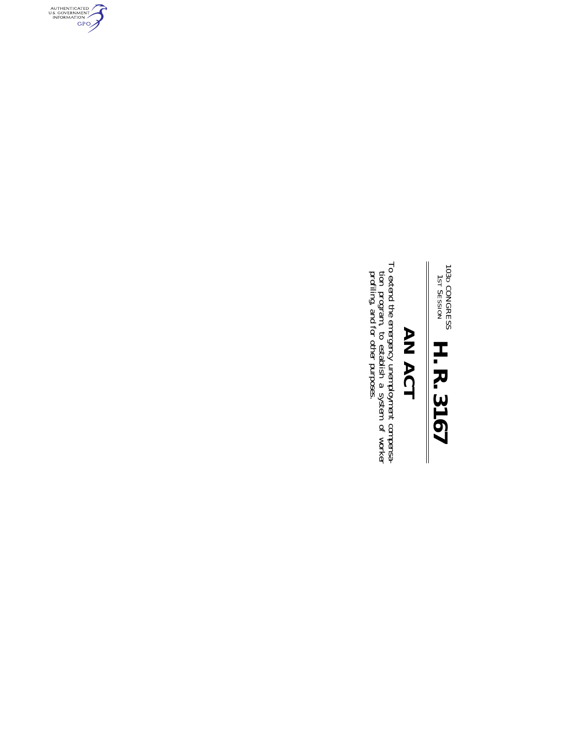# 103D 1ST CONGRESS SESSION **H. R. 3167**

## AN ACT **AN ACT**

To extend the emergency unemployment compensation program, to establish a system of worker profiling, and for other purposes. To extend the emergency unemployment compensaprofiling, and for other purposes. tion program, to establish a system of worker

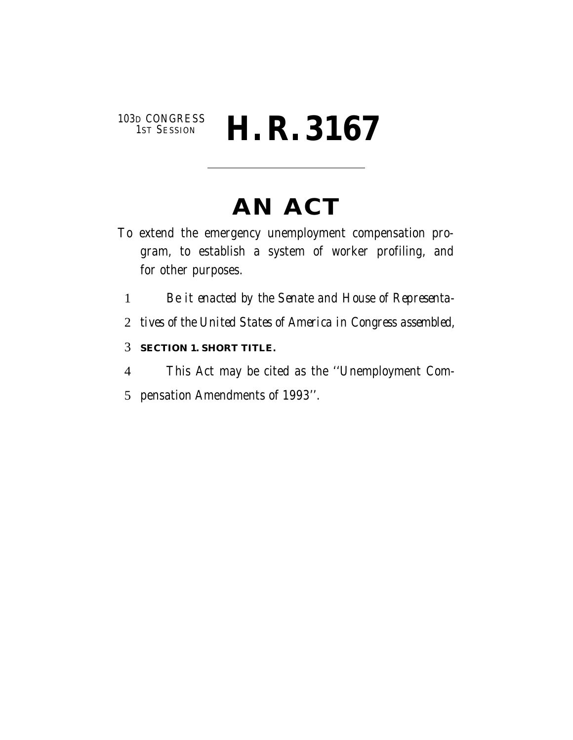## 103D CONGRESS<br>1st Session **H. R. 3167**

## **AN ACT**

- To extend the emergency unemployment compensation program, to establish a system of worker profiling, and for other purposes.
	- 1 *Be it enacted by the Senate and House of Representa-*
	- 2 *tives of the United States of America in Congress assembled,*
	- 3 **SECTION 1. SHORT TITLE.**
	- 4 This Act may be cited as the ''Unemployment Com-
	- 5 pensation Amendments of 1993''.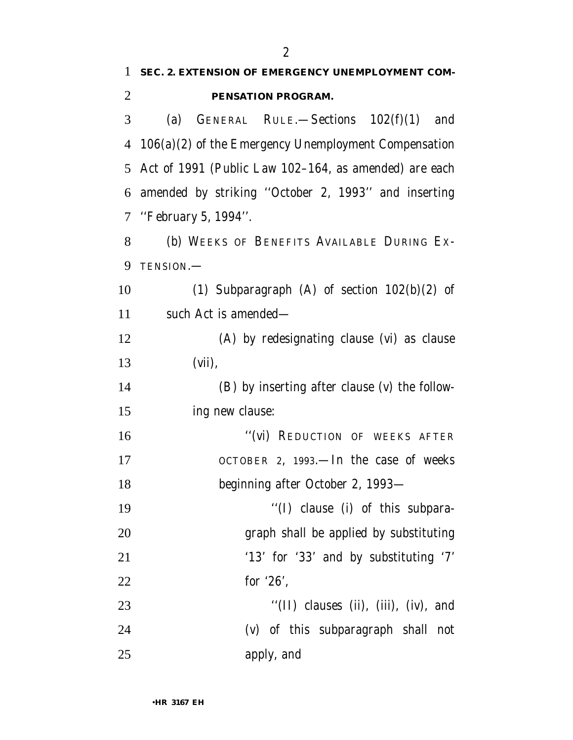| $\mathbf{1}$   | SEC. 2. EXTENSION OF EMERGENCY UNEMPLOYMENT COM-       |
|----------------|--------------------------------------------------------|
| $\overline{2}$ | PENSATION PROGRAM.                                     |
| 3              | (a) GENERAL RULE. Sections $102(f)(1)$ and             |
| 4              | $106(a)(2)$ of the Emergency Unemployment Compensation |
| 5              | Act of 1991 (Public Law 102–164, as amended) are each  |
| 6              | amended by striking "October 2, 1993" and inserting    |
| 7              | "February 5, 1994".                                    |
| 8              | (b) WEEKS OF BENEFITS AVAILABLE DURING EX-             |
| 9              | TENSION.-                                              |
| 10             | (1) Subparagraph (A) of section $102(b)(2)$ of         |
| 11             | such Act is amended—                                   |
| 12             | (A) by redesignating clause (vi) as clause             |
| 13             | $(vii)$ ,                                              |
| 14             | (B) by inserting after clause (v) the follow-          |
| 15             | ing new clause:                                        |
| 16             | "(vi) REDUCTION OF WEEKS AFTER                         |
| 17             | OCTOBER 2, 1993.—In the case of weeks                  |
| 18             | beginning after October 2, 1993-                       |
| 19             | "(I) clause (i) of this subpara-                       |
| 20             | graph shall be applied by substituting                 |
| 21             | '13' for '33' and by substituting '7'                  |
| 22             | for $26$ ,                                             |
| 23             | "(II) clauses (ii), (iii), (iv), and                   |
| 24             | (v) of this subparagraph shall not                     |
| 25             | apply, and                                             |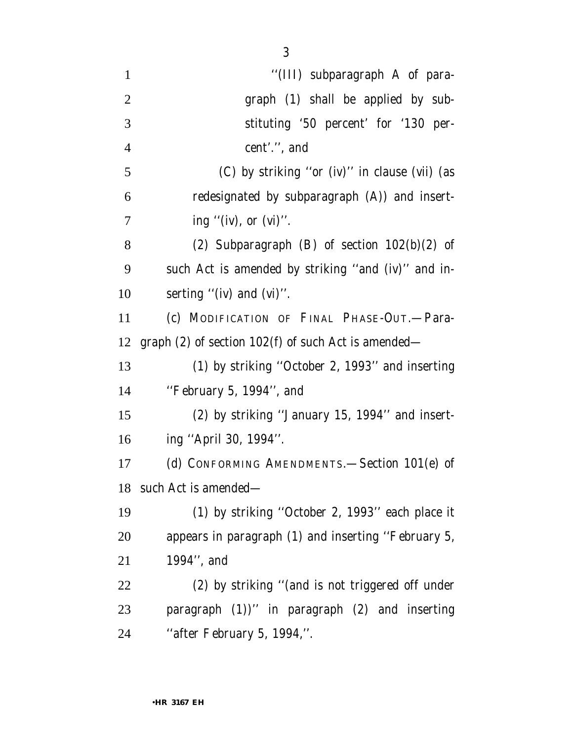| $\mathbf{1}$   | "(III) subparagraph A of para-                        |
|----------------|-------------------------------------------------------|
| $\overline{2}$ | graph (1) shall be applied by sub-                    |
| 3              | stituting '50 percent' for '130 per-                  |
| $\overline{4}$ | cent'.", and                                          |
| 5              | (C) by striking "or (iv)" in clause (vii) (as         |
| 6              | redesignated by subparagraph (A)) and insert-         |
| 7              | ing "(iv), or $(vi)$ ".                               |
| 8              | (2) Subparagraph (B) of section $102(b)(2)$ of        |
| 9              | such Act is amended by striking "and (iv)" and in-    |
| 10             | serting " $(iv)$ and $(vi)$ ".                        |
| 11             | (c) MODIFICATION OF FINAL PHASE-OUT.-Para-            |
| 12             | graph $(2)$ of section 102(f) of such Act is amended— |
| 13             | (1) by striking "October 2, 1993" and inserting       |
| 14             | "February 5, 1994", and                               |
| 15             | (2) by striking "January 15, 1994" and insert-        |
| 16             | ing "April 30, 1994".                                 |
| 17             | (d) CONFORMING AMENDMENTS. - Section 101(e) of        |
| 18             | such Act is amended—                                  |
| 19             | (1) by striking "October 2, 1993" each place it       |
| $20\,$         | appears in paragraph (1) and inserting "February 5,   |
| 21             | 1994", and                                            |
| 22             | (2) by striking "(and is not triggered off under      |
| 23             | paragraph $(1)$ )" in paragraph $(2)$ and inserting   |
| 24             | "after February 5, 1994,".                            |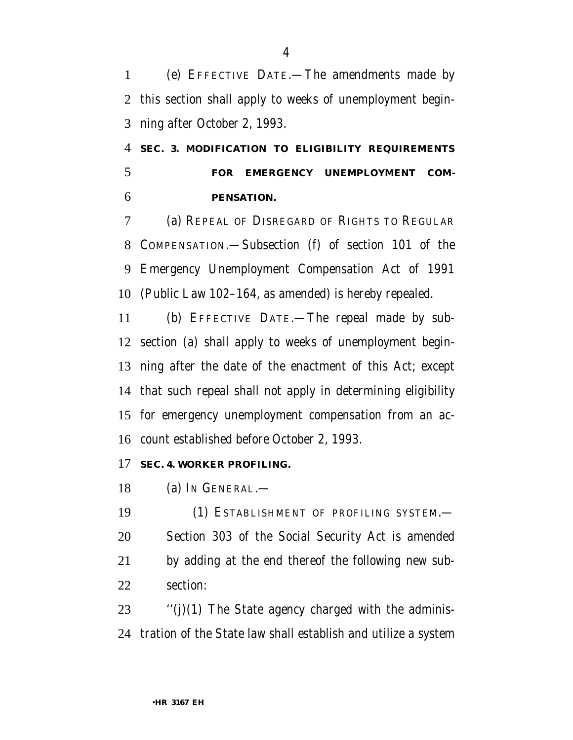(e) EFFECTIVE DATE.—The amendments made by this section shall apply to weeks of unemployment begin-ning after October 2, 1993.

 **SEC. 3. MODIFICATION TO ELIGIBILITY REQUIREMENTS FOR EMERGENCY UNEMPLOYMENT COM-PENSATION.**

 (a) REPEAL OF DISREGARD OF RIGHTS TO REGULAR COMPENSATION.—Subsection (f) of section 101 of the Emergency Unemployment Compensation Act of 1991 (Public Law 102–164, as amended) is hereby repealed.

 (b) EFFECTIVE DATE.—The repeal made by sub- section (a) shall apply to weeks of unemployment begin- ning after the date of the enactment of this Act; except that such repeal shall not apply in determining eligibility for emergency unemployment compensation from an ac-count established before October 2, 1993.

### **SEC. 4. WORKER PROFILING.**

(a) IN GENERAL.—

 (1) ESTABLISHMENT OF PROFILING SYSTEM.— Section 303 of the Social Security Act is amended by adding at the end thereof the following new sub-section:

 "(j)(1) The State agency charged with the adminis-tration of the State law shall establish and utilize a system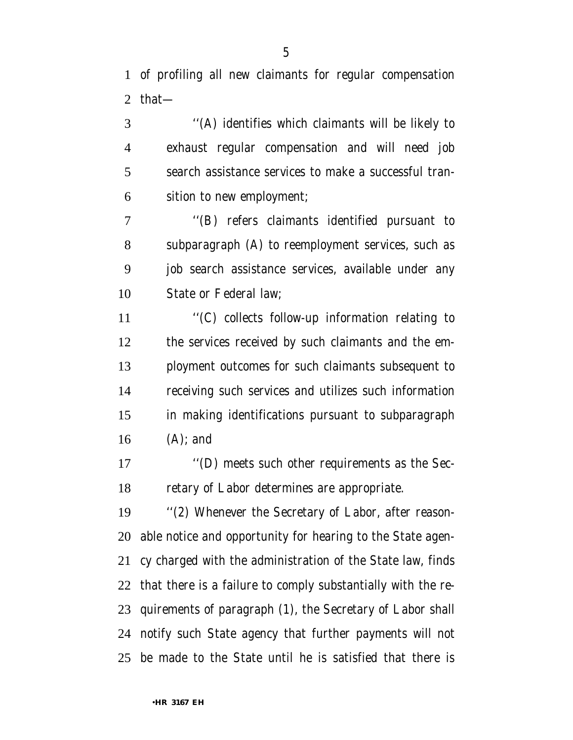of profiling all new claimants for regular compensation that—

 ''(A) identifies which claimants will be likely to exhaust regular compensation and will need job search assistance services to make a successful tran-sition to new employment;

 ''(B) refers claimants identified pursuant to subparagraph (A) to reemployment services, such as job search assistance services, available under any State or Federal law;

 ''(C) collects follow-up information relating to the services received by such claimants and the em- ployment outcomes for such claimants subsequent to receiving such services and utilizes such information in making identifications pursuant to subparagraph (A); and

 ''(D) meets such other requirements as the Sec-retary of Labor determines are appropriate.

 ''(2) Whenever the Secretary of Labor, after reason- able notice and opportunity for hearing to the State agen- cy charged with the administration of the State law, finds that there is a failure to comply substantially with the re- quirements of paragraph (1), the Secretary of Labor shall notify such State agency that further payments will not be made to the State until he is satisfied that there is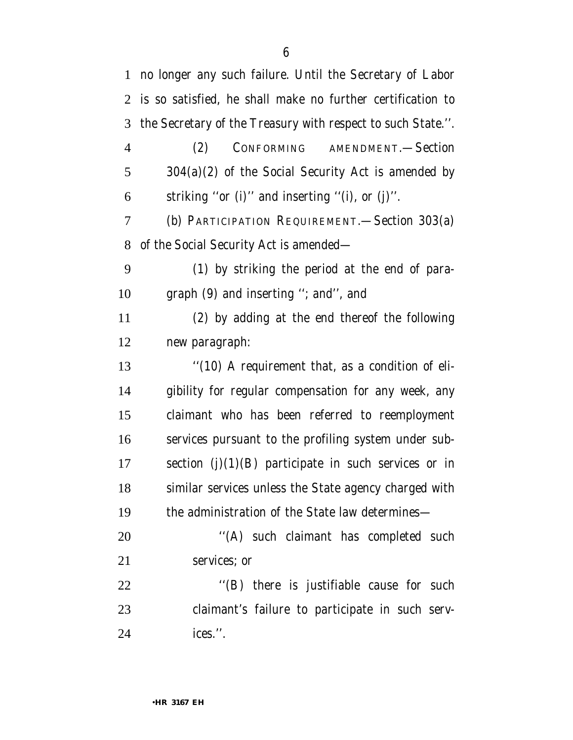no longer any such failure. Until the Secretary of Labor is so satisfied, he shall make no further certification to the Secretary of the Treasury with respect to such State.''. (2) CONFORMING AMENDMENT.—Section 304(a)(2) of the Social Security Act is amended by striking ''or (i)'' and inserting ''(i), or (j)''. (b) PARTICIPATION REQUIREMENT.—Section 303(a) of the Social Security Act is amended— (1) by striking the period at the end of para- graph (9) and inserting ''; and'', and (2) by adding at the end thereof the following new paragraph: ''(10) A requirement that, as a condition of eli- gibility for regular compensation for any week, any claimant who has been referred to reemployment services pursuant to the profiling system under sub-17 section  $(i)(1)(B)$  participate in such services or in similar services unless the State agency charged with the administration of the State law determines— 20 "(A) such claimant has completed such services; or 22 "(B) there is justifiable cause for such claimant's failure to participate in such serv-ices.''.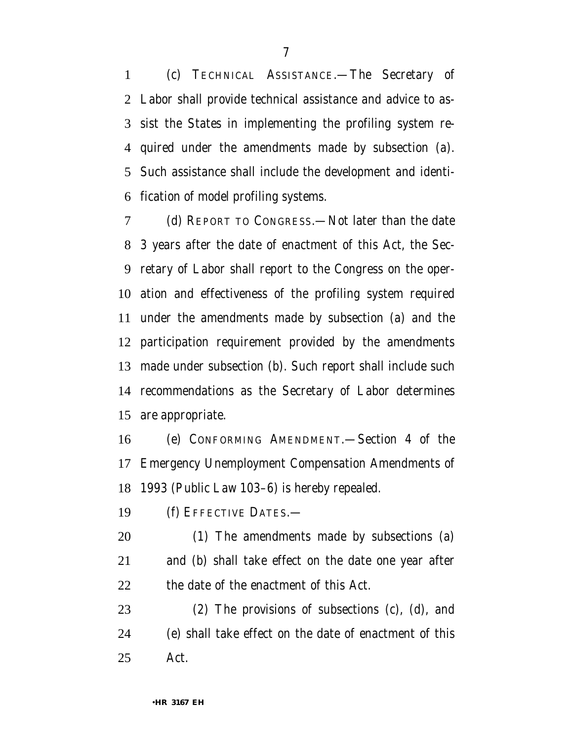(c) TECHNICAL ASSISTANCE.—The Secretary of Labor shall provide technical assistance and advice to as- sist the States in implementing the profiling system re- quired under the amendments made by subsection (a). Such assistance shall include the development and identi-fication of model profiling systems.

 (d) REPORT TO CONGRESS.—Not later than the date 3 years after the date of enactment of this Act, the Sec- retary of Labor shall report to the Congress on the oper- ation and effectiveness of the profiling system required under the amendments made by subsection (a) and the participation requirement provided by the amendments made under subsection (b). Such report shall include such recommendations as the Secretary of Labor determines are appropriate.

 (e) CONFORMING AMENDMENT.—Section 4 of the Emergency Unemployment Compensation Amendments of 1993 (Public Law 103–6) is hereby repealed.

(f) EFFECTIVE DATES.—

 (1) The amendments made by subsections (a) and (b) shall take effect on the date one year after the date of the enactment of this Act.

 (2) The provisions of subsections (c), (d), and (e) shall take effect on the date of enactment of this Act.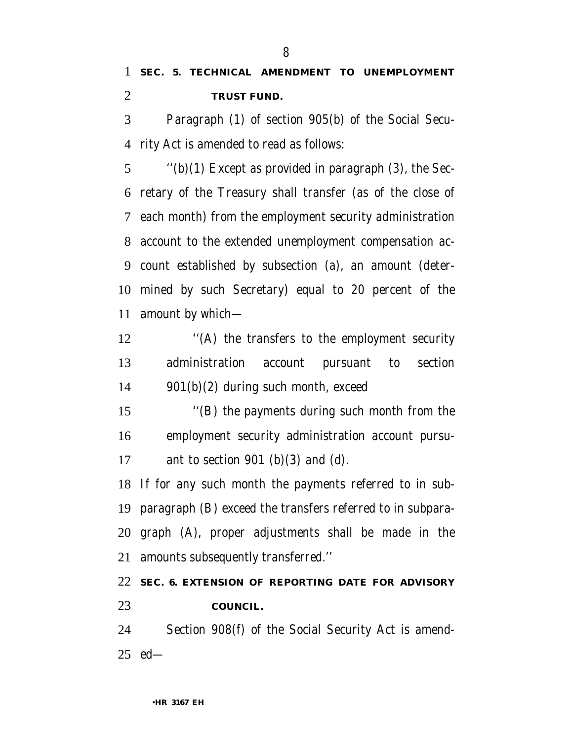## **SEC. 5. TECHNICAL AMENDMENT TO UNEMPLOYMENT TRUST FUND.**

 Paragraph (1) of section 905(b) of the Social Secu-rity Act is amended to read as follows:

 $\qquad$  "(b)(1) Except as provided in paragraph (3), the Sec- retary of the Treasury shall transfer (as of the close of each month) from the employment security administration account to the extended unemployment compensation ac- count established by subsection (a), an amount (deter- mined by such Secretary) equal to 20 percent of the amount by which—

 ''(A) the transfers to the employment security administration account pursuant to section 901(b)(2) during such month, exceed

 ''(B) the payments during such month from the employment security administration account pursu-17 ant to section 901 (b)(3) and (d).

 If for any such month the payments referred to in sub- paragraph (B) exceed the transfers referred to in subpara- graph (A), proper adjustments shall be made in the amounts subsequently transferred.''

 **SEC. 6. EXTENSION OF REPORTING DATE FOR ADVISORY COUNCIL.**

 Section 908(f) of the Social Security Act is amend-ed—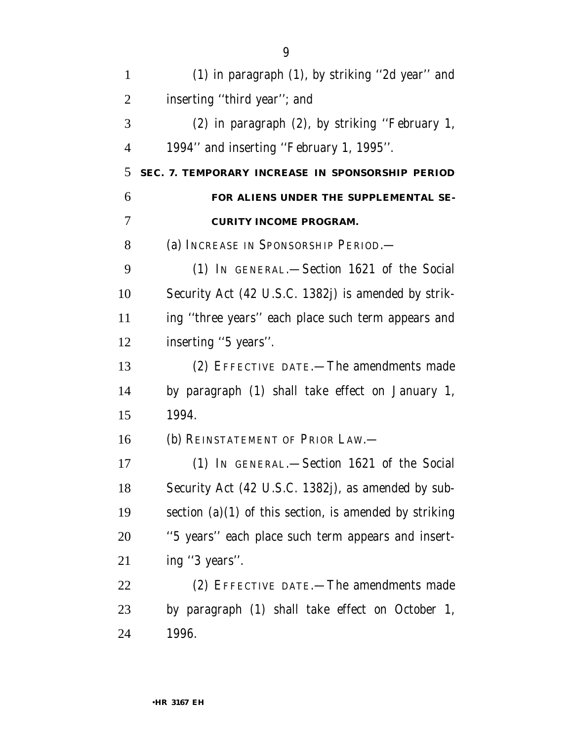| $\mathbf{1}$   | (1) in paragraph (1), by striking "2d year" and          |
|----------------|----------------------------------------------------------|
| $\overline{2}$ | inserting "third year"; and                              |
| 3              | (2) in paragraph (2), by striking "February 1,           |
| $\overline{4}$ | 1994" and inserting "February 1, 1995".                  |
| 5              | SEC. 7. TEMPORARY INCREASE IN SPONSORSHIP PERIOD         |
| 6              | FOR ALIENS UNDER THE SUPPLEMENTAL SE-                    |
| 7              | <b>CURITY INCOME PROGRAM.</b>                            |
| 8              | (a) INCREASE IN SPONSORSHIP PERIOD.—                     |
| 9              | (1) IN GENERAL.—Section 1621 of the Social               |
| 10             | Security Act (42 U.S.C. 1382j) is amended by strik-      |
| 11             | ing "three years" each place such term appears and       |
| 12             | inserting "5 years".                                     |
| 13             | (2) EFFECTIVE DATE.-The amendments made                  |
| 14             | by paragraph (1) shall take effect on January 1,         |
| 15             | 1994.                                                    |
| 16             | (b) REINSTATEMENT OF PRIOR LAW.                          |
| 17             | (1) IN GENERAL.—Section 1621 of the Social               |
| 18             | Security Act (42 U.S.C. 1382j), as amended by sub-       |
| 19             | section $(a)(1)$ of this section, is amended by striking |
| 20             | "5 years" each place such term appears and insert-       |
| 21             | ing "3 years".                                           |
| 22             | (2) EFFECTIVE DATE.—The amendments made                  |
| 23             | by paragraph (1) shall take effect on October 1,         |
| 24             | 1996.                                                    |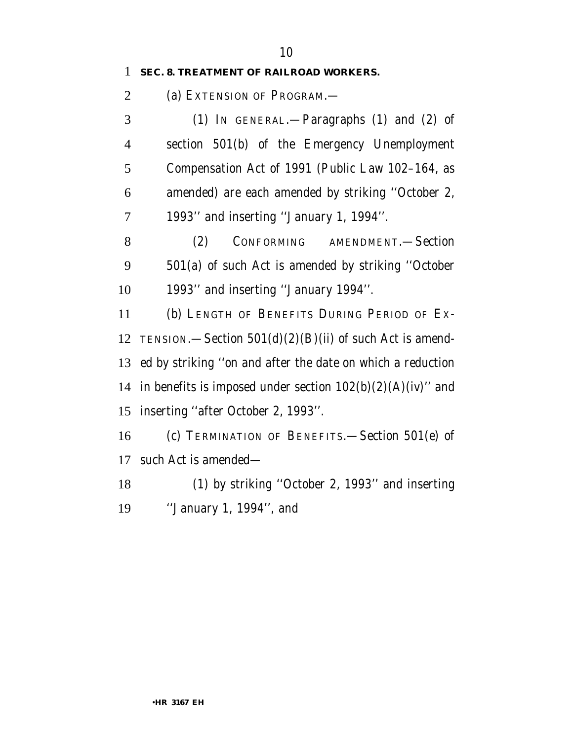#### **SEC. 8. TREATMENT OF RAILROAD WORKERS.**

2 (a) EXTENSION OF PROGRAM.—

 (1) IN GENERAL.—Paragraphs (1) and (2) of section 501(b) of the Emergency Unemployment Compensation Act of 1991 (Public Law 102–164, as amended) are each amended by striking ''October 2, 1993'' and inserting ''January 1, 1994''.

 (2) CONFORMING AMENDMENT.—Section 501(a) of such Act is amended by striking ''October 1993'' and inserting ''January 1994''.

 (b) LENGTH OF BENEFITS DURING PERIOD OF EX-12 TENSION.—Section  $501(d)(2)(B)(ii)$  of such Act is amend- ed by striking ''on and after the date on which a reduction 14 in benefits is imposed under section  $102(b)(2)(A)(iv)$ " and inserting ''after October 2, 1993''.

 (c) TERMINATION OF BENEFITS.—Section 501(e) of such Act is amended—

 (1) by striking ''October 2, 1993'' and inserting ''January 1, 1994'', and